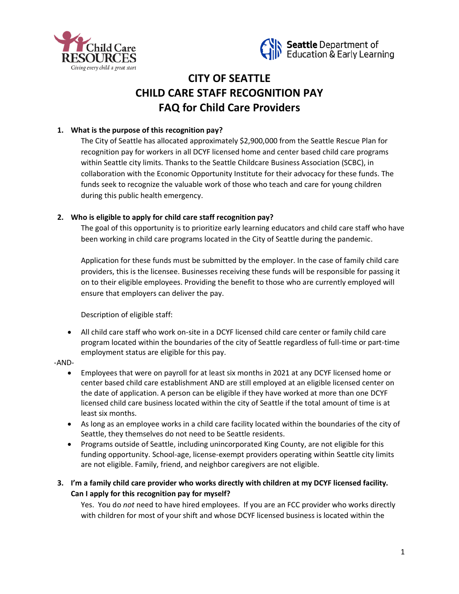



# **CITY OF SEATTLE CHILD CARE STAFF RECOGNITION PAY FAQ for Child Care Providers**

# **1. What is the purpose of this recognition pay?**

The City of Seattle has allocated approximately \$2,900,000 from the Seattle Rescue Plan for recognition pay for workers in all DCYF licensed home and center based child care programs within Seattle city limits. Thanks to the Seattle Childcare Business Association (SCBC), in collaboration with the Economic Opportunity Institute for their advocacy for these funds. The funds seek to recognize the valuable work of those who teach and care for young children during this public health emergency.

## **2. Who is eligible to apply for child care staff recognition pay?**

The goal of this opportunity is to prioritize early learning educators and child care staff who have been working in child care programs located in the City of Seattle during the pandemic.

Application for these funds must be submitted by the employer. In the case of family child care providers, this is the licensee. Businesses receiving these funds will be responsible for passing it on to their eligible employees. Providing the benefit to those who are currently employed will ensure that employers can deliver the pay.

Description of eligible staff:

- All child care staff who work on-site in a DCYF licensed child care center or family child care program located within the boundaries of the city of Seattle regardless of full-time or part-time employment status are eligible for this pay.
- -AND-
	- Employees that were on payroll for at least six months in 2021 at any DCYF licensed home or center based child care establishment AND are still employed at an eligible licensed center on the date of application. A person can be eligible if they have worked at more than one DCYF licensed child care business located within the city of Seattle if the total amount of time is at least six months.
	- As long as an employee works in a child care facility located within the boundaries of the city of Seattle, they themselves do not need to be Seattle residents.
	- Programs outside of Seattle, including unincorporated King County, are not eligible for this funding opportunity. School-age, license-exempt providers operating within Seattle city limits are not eligible. Family, friend, and neighbor caregivers are not eligible.
- **3. I'm a family child care provider who works directly with children at my DCYF licensed facility. Can I apply for this recognition pay for myself?**

Yes. You do *not* need to have hired employees. If you are an FCC provider who works directly with children for most of your shift and whose DCYF licensed business is located within the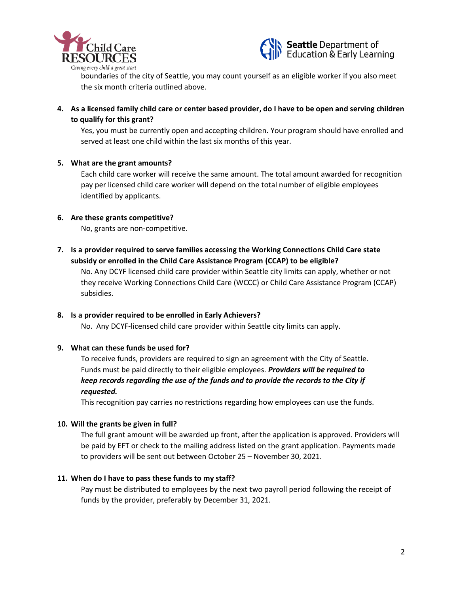



boundaries of the city of Seattle, you may count yourself as an eligible worker if you also meet the six month criteria outlined above.

**4. As a licensed family child care or center based provider, do I have to be open and serving children to qualify for this grant?**

Yes, you must be currently open and accepting children. Your program should have enrolled and served at least one child within the last six months of this year.

### **5. What are the grant amounts?**

Each child care worker will receive the same amount. The total amount awarded for recognition pay per licensed child care worker will depend on the total number of eligible employees identified by applicants.

#### **6. Are these grants competitive?**

No, grants are non-competitive.

**7. Is a provider required to serve families accessing the Working Connections Child Care state subsidy or enrolled in the Child Care Assistance Program (CCAP) to be eligible?**

No. Any DCYF licensed child care provider within Seattle city limits can apply, whether or not they receive Working Connections Child Care (WCCC) or Child Care Assistance Program (CCAP) subsidies.

### **8. Is a provider required to be enrolled in Early Achievers?**

No. Any DCYF-licensed child care provider within Seattle city limits can apply.

### **9. What can these funds be used for?**

To receive funds, providers are required to sign an agreement with the City of Seattle. Funds must be paid directly to their eligible employees. *Providers will be required to keep records regarding the use of the funds and to provide the records to the City if requested.*

This recognition pay carries no restrictions regarding how employees can use the funds.

#### **10. Will the grants be given in full?**

The full grant amount will be awarded up front, after the application is approved. Providers will be paid by EFT or check to the mailing address listed on the grant application. Payments made to providers will be sent out between October 25 – November 30, 2021.

#### **11. When do I have to pass these funds to my staff?**

Pay must be distributed to employees by the next two payroll period following the receipt of funds by the provider, preferably by December 31, 2021.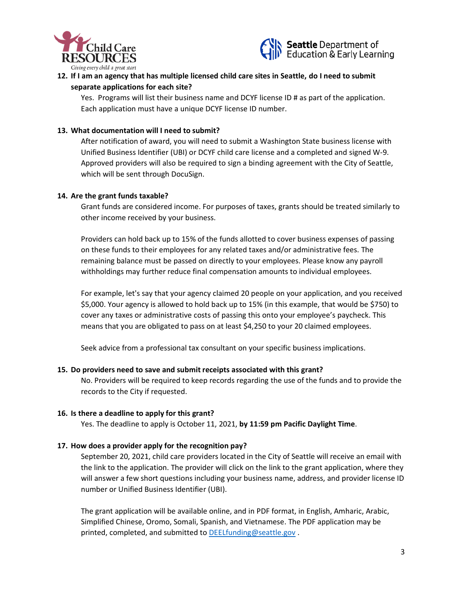



# **12. If I am an agency that has multiple licensed child care sites in Seattle, do I need to submit separate applications for each site?**

Yes. Programs will list their business name and DCYF license ID # as part of the application. Each application must have a unique DCYF license ID number.

### **13. What documentation will I need to submit?**

After notification of award, you will need to submit a Washington State business license with Unified Business Identifier (UBI) or DCYF child care license and a completed and signed W-9. Approved providers will also be required to sign a binding agreement with the City of Seattle, which will be sent through DocuSign.

### **14. Are the grant funds taxable?**

Grant funds are considered income. For purposes of taxes, grants should be treated similarly to other income received by your business.

Providers can hold back up to 15% of the funds allotted to cover business expenses of passing on these funds to their employees for any related taxes and/or administrative fees. The remaining balance must be passed on directly to your employees. Please know any payroll withholdings may further reduce final compensation amounts to individual employees.

For example, let's say that your agency claimed 20 people on your application, and you received \$5,000. Your agency is allowed to hold back up to 15% (in this example, that would be \$750) to cover any taxes or administrative costs of passing this onto your employee's paycheck. This means that you are obligated to pass on at least \$4,250 to your 20 claimed employees.

Seek advice from a professional tax consultant on your specific business implications.

### **15. Do providers need to save and submit receipts associated with this grant?**

No. Providers will be required to keep records regarding the use of the funds and to provide the records to the City if requested.

### **16. Is there a deadline to apply for this grant?**

Yes. The deadline to apply is October 11, 2021, **by 11:59 pm Pacific Daylight Time**.

## **17. How does a provider apply for the recognition pay?**

September 20, 2021, child care providers located in the City of Seattle will receive an email with the link to the application. The provider will click on the link to the grant application, where they will answer a few short questions including your business name, address, and provider license ID number or Unified Business Identifier (UBI).

The grant application will be available online, and in PDF format, in English, Amharic, Arabic, Simplified Chinese, Oromo, Somali, Spanish, and Vietnamese. The PDF application may be printed, completed, and submitted to [DEELfunding@seattle.gov](mailto:DEELfunding@seattle.gov).